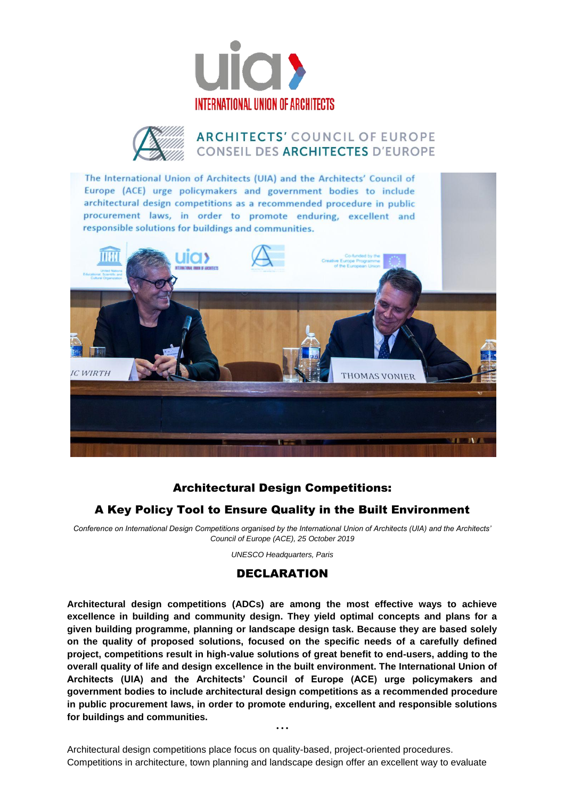





## Architectural Design Competitions:

## A Key Policy Tool to Ensure Quality in the Built Environment

*Conference on International Design Competitions organised by the International Union of Architects (UIA) and the Architects' Council of Europe (ACE), 25 October 2019*

*UNESCO Headquarters, Paris*

## DECLARATION

**Architectural design competitions (ADCs) are among the most effective ways to achieve excellence in building and community design. They yield optimal concepts and plans for a given building programme, planning or landscape design task. Because they are based solely on the quality of proposed solutions, focused on the specific needs of a carefully defined project, competitions result in high-value solutions of great benefit to end-users, adding to the overall quality of life and design excellence in the built environment. The International Union of Architects (UIA) and the Architects' Council of Europe (ACE) urge policymakers and government bodies to include architectural design competitions as a recommended procedure in public procurement laws, in order to promote enduring, excellent and responsible solutions for buildings and communities.**

Architectural design competitions place focus on quality-based, project-oriented procedures. Competitions in architecture, town planning and landscape design offer an excellent way to evaluate